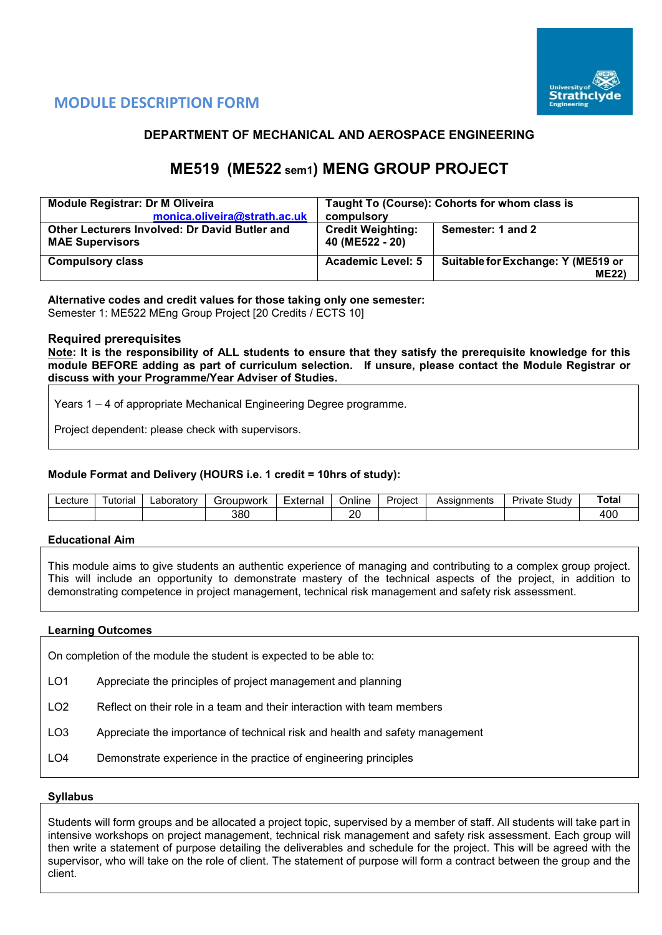

# **MODULE DESCRIPTION FORM**

# **DEPARTMENT OF MECHANICAL AND AEROSPACE ENGINEERING**

# **ME519 (ME522 sem1) MENG GROUP PROJECT**

| <b>Module Registrar: Dr M Oliveira</b>               | Taught To (Course): Cohorts for whom class is |                                    |  |  |  |
|------------------------------------------------------|-----------------------------------------------|------------------------------------|--|--|--|
| monica.oliveira@strath.ac.uk                         | compulsory                                    |                                    |  |  |  |
| <b>Other Lecturers Involved: Dr David Butler and</b> | <b>Credit Weighting:</b>                      | Semester: 1 and 2                  |  |  |  |
| <b>MAE Supervisors</b>                               | 40 (ME522 - 20)                               |                                    |  |  |  |
| <b>Compulsory class</b>                              | <b>Academic Level: 5</b>                      | Suitable for Exchange: Y (ME519 or |  |  |  |
|                                                      |                                               | <b>ME22)</b>                       |  |  |  |

**Alternative codes and credit values for those taking only one semester:** Semester 1: ME522 MEng Group Project [20 Credits / ECTS 10]

#### **Required prerequisites**

**Note: It is the responsibility of ALL students to ensure that they satisfy the prerequisite knowledge for this module BEFORE adding as part of curriculum selection. If unsure, please contact the Module Registrar or discuss with your Programme/Year Adviser of Studies.** 

Years 1 – 4 of appropriate Mechanical Engineering Degree programme.

Project dependent: please check with supervisors.

# **Module Format and Delivery (HOURS i.e. 1 credit = 10hrs of study):**

| ∟ecture | utorial | ∟aboratorv | $\overline{\phantom{0}}$<br>Project<br>Foubwork<br>Externa<br>Online<br>- 11<br>וטוסטו |  | Assianments | $\sim$<br>Study<br>Private | ⊤ota. |  |     |
|---------|---------|------------|----------------------------------------------------------------------------------------|--|-------------|----------------------------|-------|--|-----|
|         |         |            | 380                                                                                    |  | or<br>--    |                            |       |  | 10C |

# **Educational Aim**

This module aims to give students an authentic experience of managing and contributing to a complex group project. This will include an opportunity to demonstrate mastery of the technical aspects of the project, in addition to demonstrating competence in project management, technical risk management and safety risk assessment.

#### **Learning Outcomes**

On completion of the module the student is expected to be able to:

- LO1 Appreciate the principles of project management and planning
- LO2 Reflect on their role in a team and their interaction with team members
- LO3 Appreciate the importance of technical risk and health and safety management
- LO4 Demonstrate experience in the practice of engineering principles

#### **Syllabus**

Students will form groups and be allocated a project topic, supervised by a member of staff. All students will take part in intensive workshops on project management, technical risk management and safety risk assessment. Each group will then write a statement of purpose detailing the deliverables and schedule for the project. This will be agreed with the supervisor, who will take on the role of client. The statement of purpose will form a contract between the group and the client.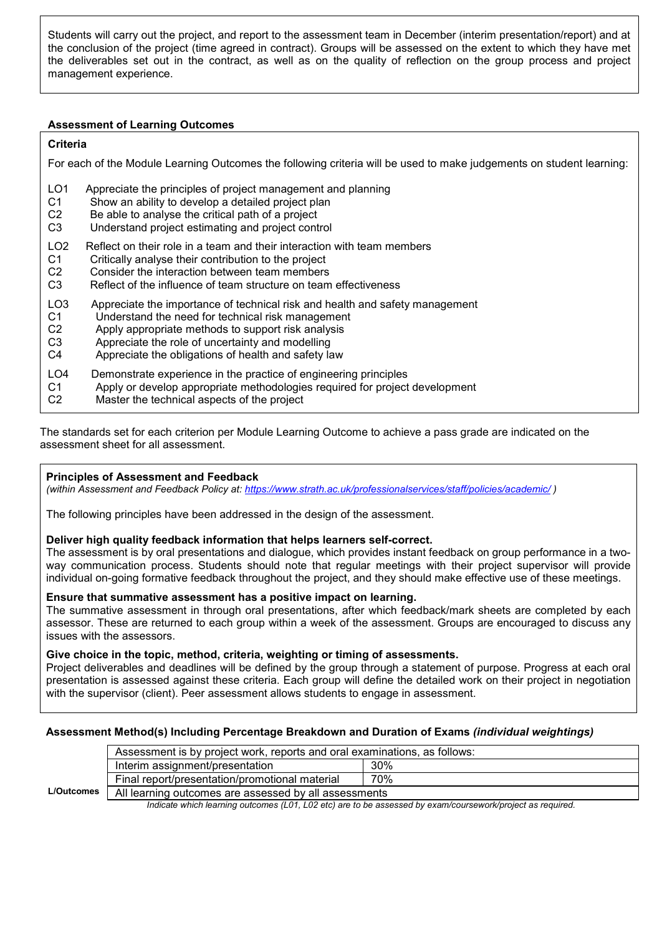Students will carry out the project, and report to the assessment team in December (interim presentation/report) and at the conclusion of the project (time agreed in contract). Groups will be assessed on the extent to which they have met the deliverables set out in the contract, as well as on the quality of reflection on the group process and project management experience.

# **Assessment of Learning Outcomes**

# **Criteria**

For each of the Module Learning Outcomes the following criteria will be used to make judgements on student learning:

- LO1 Appreciate the principles of project management and planning
- C1 Show an ability to develop a detailed project plan<br>C2 Be able to analyse the critical path of a project
- Be able to analyse the critical path of a project
- C3 Understand project estimating and project control
- LO2 Reflect on their role in a team and their interaction with team members
- C1 Critically analyse their contribution to the project<br>C2 Consider the interaction between team members
- C2 Consider the interaction between team members<br>C3 Reflect of the influence of team structure on team
- Reflect of the influence of team structure on team effectiveness
- LO3 Appreciate the importance of technical risk and health and safety management
- C1 Understand the need for technical risk management<br>C2 Apply appropriate methods to support risk analysis
- Apply appropriate methods to support risk analysis
- C3 Appreciate the role of uncertainty and modelling
- C4 Appreciate the obligations of health and safety law
- LO4 Demonstrate experience in the practice of engineering principles
- C1 Apply or develop appropriate methodologies required for project development<br>C2 Master the technical aspects of the project
- Master the technical aspects of the project

The standards set for each criterion per Module Learning Outcome to achieve a pass grade are indicated on the assessment sheet for all assessment.

# **Principles of Assessment and Feedback**

*(within Assessment and Feedback Policy at: <https://www.strath.ac.uk/professionalservices/staff/policies/academic/> )*

The following principles have been addressed in the design of the assessment.

# **Deliver high quality feedback information that helps learners self-correct.**

The assessment is by oral presentations and dialogue, which provides instant feedback on group performance in a twoway communication process. Students should note that regular meetings with their project supervisor will provide individual on-going formative feedback throughout the project, and they should make effective use of these meetings.

# **Ensure that summative assessment has a positive impact on learning.**

The summative assessment in through oral presentations, after which feedback/mark sheets are completed by each assessor. These are returned to each group within a week of the assessment. Groups are encouraged to discuss any issues with the assessors.

# **Give choice in the topic, method, criteria, weighting or timing of assessments.**

Project deliverables and deadlines will be defined by the group through a statement of purpose. Progress at each oral presentation is assessed against these criteria. Each group will define the detailed work on their project in negotiation with the supervisor (client). Peer assessment allows students to engage in assessment.

# **Assessment Method(s) Including Percentage Breakdown and Duration of Exams** *(individual weightings)*

|                   | Assessment is by project work, reports and oral examinations, as follows: |        |  |  |  |  |  |  |  |  |
|-------------------|---------------------------------------------------------------------------|--------|--|--|--|--|--|--|--|--|
|                   | Interim assignment/presentation                                           | 30%    |  |  |  |  |  |  |  |  |
|                   | Final report/presentation/promotional material                            | 70%    |  |  |  |  |  |  |  |  |
| <b>L/Outcomes</b> | All learning outcomes are assessed by all assessments                     |        |  |  |  |  |  |  |  |  |
|                   |                                                                           | .<br>. |  |  |  |  |  |  |  |  |

 *Indicate which learning outcomes (L01, L02 etc) are to be assessed by exam/coursework/project as required.*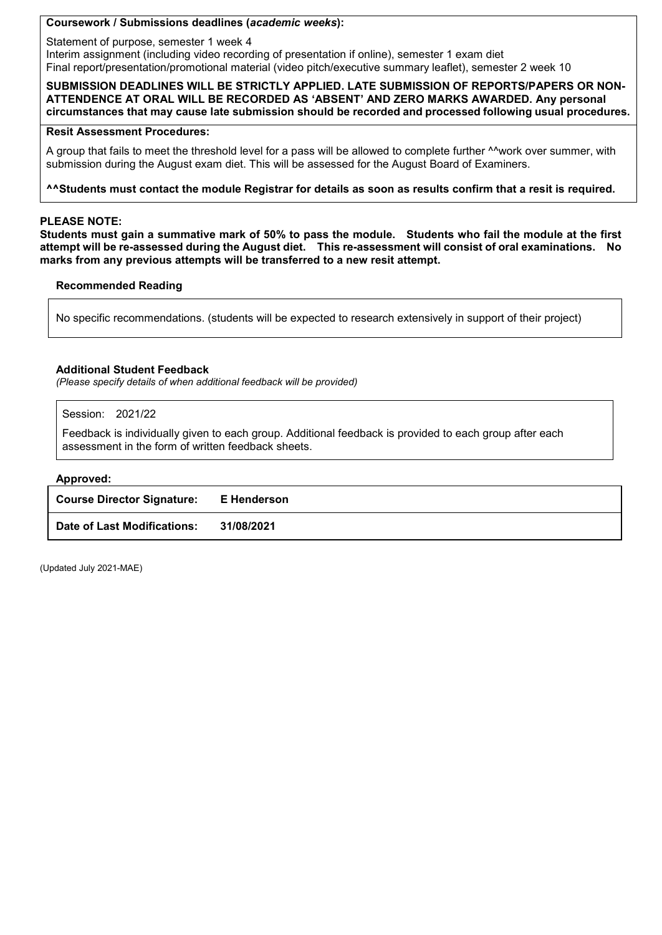#### **Coursework / Submissions deadlines (***academic weeks***):**

Statement of purpose, semester 1 week 4 Interim assignment (including video recording of presentation if online), semester 1 exam diet Final report/presentation/promotional material (video pitch/executive summary leaflet), semester 2 week 10

#### **SUBMISSION DEADLINES WILL BE STRICTLY APPLIED. LATE SUBMISSION OF REPORTS/PAPERS OR NON-ATTENDENCE AT ORAL WILL BE RECORDED AS 'ABSENT' AND ZERO MARKS AWARDED. Any personal circumstances that may cause late submission should be recorded and processed following usual procedures.**

#### **Resit Assessment Procedures:**

A group that fails to meet the threshold level for a pass will be allowed to complete further <sup>^^</sup>work over summer, with submission during the August exam diet. This will be assessed for the August Board of Examiners.

#### **^^Students must contact the module Registrar for details as soon as results confirm that a resit is required.**

#### **PLEASE NOTE:**

**Students must gain a summative mark of 50% to pass the module. Students who fail the module at the first attempt will be re-assessed during the August diet. This re-assessment will consist of oral examinations. No marks from any previous attempts will be transferred to a new resit attempt.**

# **Recommended Reading**

No specific recommendations. (students will be expected to research extensively in support of their project)

#### **Additional Student Feedback**

*(Please specify details of when additional feedback will be provided)*

Session: 2021/22

Feedback is individually given to each group. Additional feedback is provided to each group after each assessment in the form of written feedback sheets.

#### **Approved:**

| <b>Course Director Signature:</b> | E Henderson |
|-----------------------------------|-------------|
| Date of Last Modifications:       | 31/08/2021  |

(Updated July 2021-MAE)